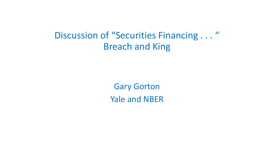Discussion of "Securities Financing . . . " Breach and King

> Gary Gorton Yale and NBER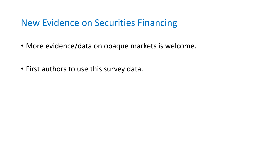### New Evidence on Securities Financing

- More evidence/data on opaque markets is welcome.
- First authors to use this survey data.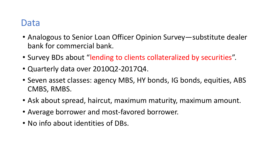### Data

- Analogous to Senior Loan Officer Opinion Survey—substitute dealer bank for commercial bank.
- Survey BDs about "lending to clients collateralized by securities".
- Quarterly data over 2010Q2-2017Q4.
- Seven asset classes: agency MBS, HY bonds, IG bonds, equities, ABS CMBS, RMBS.
- Ask about spread, haircut, maximum maturity, maximum amount.
- Average borrower and most-favored borrower.
- No info about identities of DBs.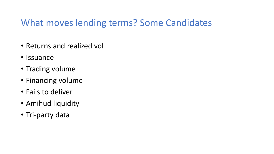### What moves lending terms? Some Candidates

- Returns and realized vol
- Issuance
- Trading volume
- Financing volume
- Fails to deliver
- Amihud liquidity
- Tri-party data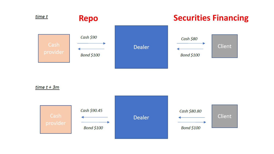

 $time t + 3m$ 

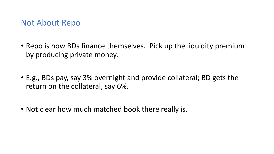#### Not About Repo

- Repo is how BDs finance themselves. Pick up the liquidity premium by producing private money.
- E.g., BDs pay, say 3% overnight and provide collateral; BD gets the return on the collateral, say 6%.
- Not clear how much matched book there really is.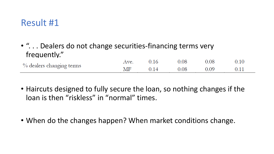### Result #1

• "... Dealers do not change securities-financing terms very frequently."

0.16 0.08 0.08 0.10 Ave. % dealers changing terms MF 0.14 0.08 0.09 0.11

- Haircuts designed to fully secure the loan, so nothing changes if the loan is then "riskless" in "normal" times.
- When do the changes happen? When market conditions change.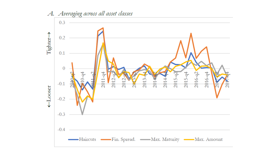

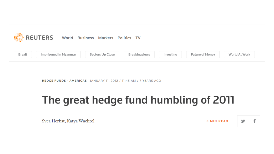

HEDGE FUNDS - AMERICAS JANUARY 11, 2012 / 11:45 AM / 7 YEARS AGO

## The great hedge fund humbling of 2011

Svea Herbst, Katya Wachtel

ý **8 MIN READ** 

f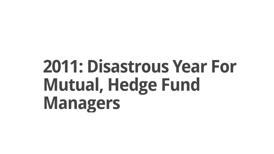# **2011: Disastrous Year For Mutual, Hedge Fund Managers**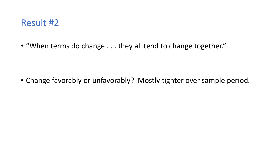

• "When terms do change . . . they all tend to change together."

• Change favorably or unfavorably? Mostly tighter over sample period.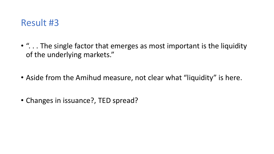

- "... The single factor that emerges as most important is the liquidity of the underlying markets."
- Aside from the Amihud measure, not clear what "liquidity" is here.
- Changes in issuance?, TED spread?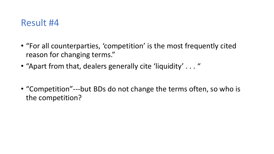### Result #4

- "For all counterparties, 'competition' is the most frequently cited reason for changing terms."
- "Apart from that, dealers generally cite 'liquidity' . . . "
- "Competition"---but BDs do not change the terms often, so who is the competition?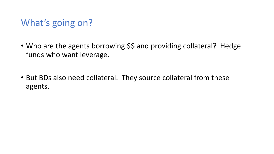## What's going on?

- Who are the agents borrowing \$\$ and providing collateral? Hedge funds who want leverage.
- But BDs also need collateral. They source collateral from these agents.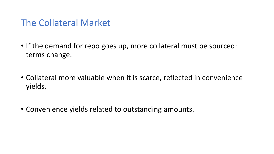### The Collateral Market

- If the demand for repo goes up, more collateral must be sourced: terms change.
- Collateral more valuable when it is scarce, reflected in convenience yields.
- Convenience yields related to outstanding amounts.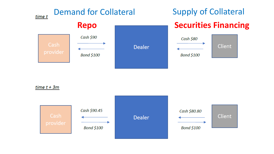

 $time t + 3m$